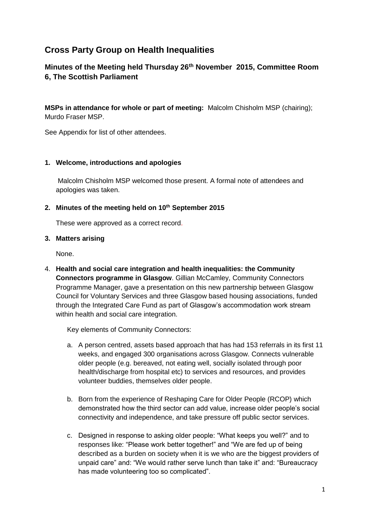# **Cross Party Group on Health Inequalities**

## **Minutes of the Meeting held Thursday 26th November 2015, Committee Room 6, The Scottish Parliament**

**MSPs in attendance for whole or part of meeting:** Malcolm Chisholm MSP (chairing); Murdo Fraser MSP.

See Appendix for list of other attendees.

#### **1. Welcome, introductions and apologies**

Malcolm Chisholm MSP welcomed those present. A formal note of attendees and apologies was taken.

#### **2. Minutes of the meeting held on 10th September 2015**

These were approved as a correct record.

#### **3. Matters arising**

None.

4. **Health and social care integration and health inequalities: the Community Connectors programme in Glasgow**. Gillian McCamley, Community Connectors Programme Manager, gave a presentation on this new partnership between Glasgow Council for Voluntary Services and three Glasgow based housing associations, funded through the Integrated Care Fund as part of Glasgow's accommodation work stream within health and social care integration.

Key elements of Community Connectors:

- a. A person centred, assets based approach that has had 153 referrals in its first 11 weeks, and engaged 300 organisations across Glasgow. Connects vulnerable older people (e.g. bereaved, not eating well, socially isolated through poor health/discharge from hospital etc) to services and resources, and provides volunteer buddies, themselves older people.
- b. Born from the experience of Reshaping Care for Older People (RCOP) which demonstrated how the third sector can add value, increase older people's social connectivity and independence, and take pressure off public sector services.
- c. Designed in response to asking older people: "What keeps you well?" and to responses like: "Please work better together!" and "We are fed up of being described as a burden on society when it is we who are the biggest providers of unpaid care" and: "We would rather serve lunch than take it" and: "Bureaucracy has made volunteering too so complicated".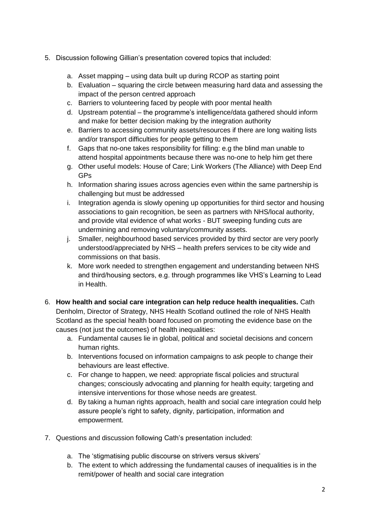- 5. Discussion following Gillian's presentation covered topics that included:
	- a. Asset mapping using data built up during RCOP as starting point
	- b. Evaluation squaring the circle between measuring hard data and assessing the impact of the person centred approach
	- c. Barriers to volunteering faced by people with poor mental health
	- d. Upstream potential the programme's intelligence/data gathered should inform and make for better decision making by the integration authority
	- e. Barriers to accessing community assets/resources if there are long waiting lists and/or transport difficulties for people getting to them
	- f. Gaps that no-one takes responsibility for filling: e.g the blind man unable to attend hospital appointments because there was no-one to help him get there
	- g. Other useful models: House of Care; Link Workers (The Alliance) with Deep End GPs
	- h. Information sharing issues across agencies even within the same partnership is challenging but must be addressed
	- i. Integration agenda is slowly opening up opportunities for third sector and housing associations to gain recognition, be seen as partners with NHS/local authority, and provide vital evidence of what works - BUT sweeping funding cuts are undermining and removing voluntary/community assets.
	- j. Smaller, neighbourhood based services provided by third sector are very poorly understood/appreciated by NHS – health prefers services to be city wide and commissions on that basis.
	- k. More work needed to strengthen engagement and understanding between NHS and third/housing sectors, e.g. through programmes like VHS's Learning to Lead in Health.
- 6. **How health and social care integration can help reduce health inequalities.** Cath Denholm, Director of Strategy, NHS Health Scotland outlined the role of NHS Health Scotland as the special health board focused on promoting the evidence base on the causes (not just the outcomes) of health inequalities:
	- a. Fundamental causes lie in global, political and societal decisions and concern human rights.
	- b. Interventions focused on information campaigns to ask people to change their behaviours are least effective.
	- c. For change to happen, we need: appropriate fiscal policies and structural changes; consciously advocating and planning for health equity; targeting and intensive interventions for those whose needs are greatest.
	- d. By taking a human rights approach, health and social care integration could help assure people's right to safety, dignity, participation, information and empowerment.
- 7. Questions and discussion following Cath's presentation included:
	- a. The 'stigmatising public discourse on strivers versus skivers'
	- b. The extent to which addressing the fundamental causes of inequalities is in the remit/power of health and social care integration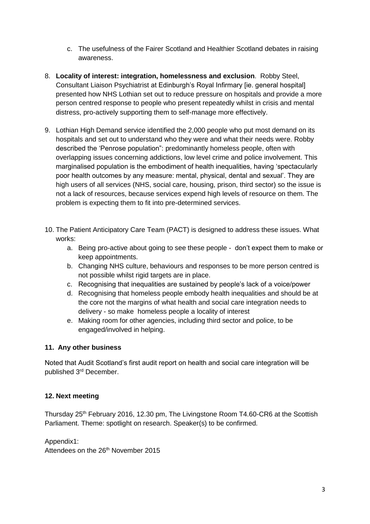- c. The usefulness of the Fairer Scotland and Healthier Scotland debates in raising awareness.
- 8. **Locality of interest: integration, homelessness and exclusion**. Robby Steel, Consultant Liaison Psychiatrist at Edinburgh's Royal Infirmary [ie. general hospital] presented how NHS Lothian set out to reduce pressure on hospitals and provide a more person centred response to people who present repeatedly whilst in crisis and mental distress, pro-actively supporting them to self-manage more effectively.
- 9. Lothian High Demand service identified the 2,000 people who put most demand on its hospitals and set out to understand who they were and what their needs were. Robby described the 'Penrose population": predominantly homeless people, often with overlapping issues concerning addictions, low level crime and police involvement. This marginalised population is the embodiment of health inequalities, having 'spectacularly poor health outcomes by any measure: mental, physical, dental and sexual'. They are high users of all services (NHS, social care, housing, prison, third sector) so the issue is not a lack of resources, because services expend high levels of resource on them. The problem is expecting them to fit into pre-determined services.
- 10. The Patient Anticipatory Care Team (PACT) is designed to address these issues. What works:
	- a. Being pro-active about going to see these people don't expect them to make or keep appointments.
	- b. Changing NHS culture, behaviours and responses to be more person centred is not possible whilst rigid targets are in place.
	- c. Recognising that inequalities are sustained by people's lack of a voice/power
	- d. Recognising that homeless people embody health inequalities and should be at the core not the margins of what health and social care integration needs to delivery - so make homeless people a locality of interest
	- e. Making room for other agencies, including third sector and police, to be engaged/involved in helping.

### **11. Any other business**

Noted that Audit Scotland's first audit report on health and social care integration will be published 3rd December.

#### **12. Next meeting**

Thursday  $25<sup>th</sup>$  February 2016, 12.30 pm, The Livingstone Room T4.60-CR6 at the Scottish Parliament. Theme: spotlight on research. Speaker(s) to be confirmed.

Appendix1: Attendees on the 26<sup>th</sup> November 2015